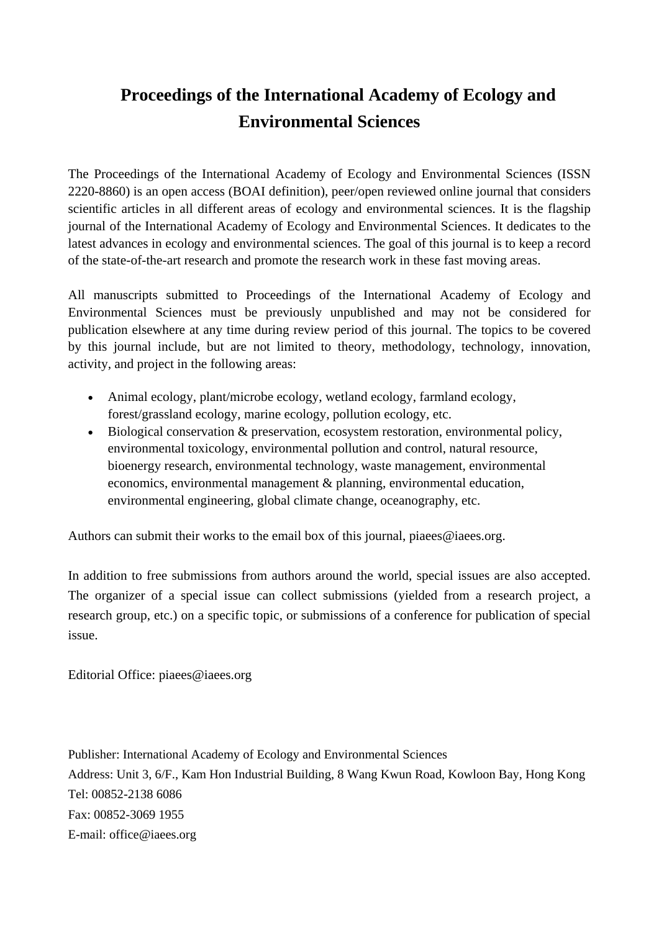## **Proceedings of the International Academy of Ecology and Environmental Sciences**

The Proceedings of the International Academy of Ecology and Environmental Sciences (ISSN 2220-8860) is an open access (BOAI definition), peer/open reviewed online journal that considers scientific articles in all different areas of ecology and environmental sciences. It is the flagship journal of the International Academy of Ecology and Environmental Sciences. It dedicates to the latest advances in ecology and environmental sciences. The goal of this journal is to keep a record of the state-of-the-art research and promote the research work in these fast moving areas.

All manuscripts submitted to Proceedings of the International Academy of Ecology and Environmental Sciences must be previously unpublished and may not be considered for publication elsewhere at any time during review period of this journal. The topics to be covered by this journal include, but are not limited to theory, methodology, technology, innovation, activity, and project in the following areas:

- Animal ecology, plant/microbe ecology, wetland ecology, farmland ecology, forest/grassland ecology, marine ecology, pollution ecology, etc.
- Biological conservation & preservation, ecosystem restoration, environmental policy, environmental toxicology, environmental pollution and control, natural resource, bioenergy research, environmental technology, waste management, environmental economics, environmental management & planning, environmental education, environmental engineering, global climate change, oceanography, etc.

Authors can submit their works to the email box of this journal, piaees@iaees.org.

In addition to free submissions from authors around the world, special issues are also accepted. The organizer of a special issue can collect submissions (yielded from a research project, a research group, etc.) on a specific topic, or submissions of a conference for publication of special issue.

Editorial Office: piaees@iaees.org

Publisher: International Academy of Ecology and Environmental Sciences Address: Unit 3, 6/F., Kam Hon Industrial Building, 8 Wang Kwun Road, Kowloon Bay, Hong Kong Tel: 00852-2138 6086 Fax: 00852-3069 1955 E-mail: office@iaees.org